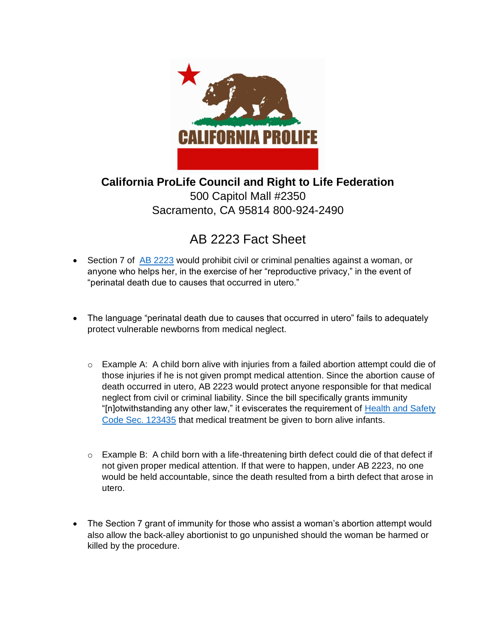

**California ProLife Council and Right to Life Federation**  500 Capitol Mall #2350 Sacramento, CA 95814 800-924-2490

## AB 2223 Fact Sheet

- Section 7 of [AB 2223](https://leginfo.legislature.ca.gov/faces/billTextClient.xhtml?bill_id=202120220AB2223) would prohibit civil or criminal penalties against a woman, or anyone who helps her, in the exercise of her "reproductive privacy," in the event of "perinatal death due to causes that occurred in utero."
- The language "perinatal death due to causes that occurred in utero" fails to adequately protect vulnerable newborns from medical neglect.
	- $\circ$  Example A: A child born alive with injuries from a failed abortion attempt could die of those injuries if he is not given prompt medical attention. Since the abortion cause of death occurred in utero, AB 2223 would protect anyone responsible for that medical neglect from civil or criminal liability. Since the bill specifically grants immunity "[n]otwithstanding any other law," it eviscerates the requirement of Health and Safety [Code Sec. 123435](https://leginfo.legislature.ca.gov/faces/codes_displaySection.xhtml?lawCode=HSC§ionNum=123435#:~:text=123435.,medical%20status%20prematurely%20born%20spontaneously.) that medical treatment be given to born alive infants.
	- o Example B: A child born with a life-threatening birth defect could die of that defect if not given proper medical attention. If that were to happen, under AB 2223, no one would be held accountable, since the death resulted from a birth defect that arose in utero.
- The Section 7 grant of immunity for those who assist a woman's abortion attempt would also allow the back-alley abortionist to go unpunished should the woman be harmed or killed by the procedure.